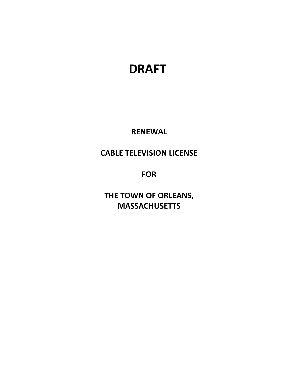# **DRAFT**

**RENEWAL**

## **CABLE TELEVISION LICENSE**

**FOR**

**THE TOWN OF ORLEANS, MASSACHUSETTS**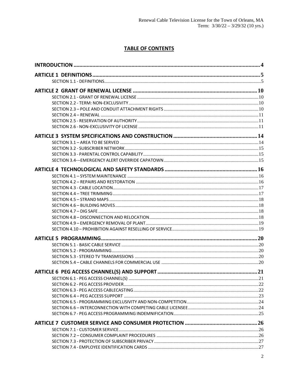### **TABLE OF CONTENTS**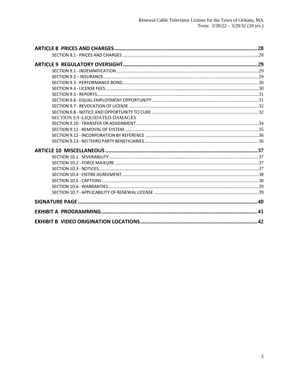| SECTION 9.9 -LIQUIDATED DAMAGES |  |
|---------------------------------|--|
|                                 |  |
|                                 |  |
|                                 |  |
|                                 |  |
|                                 |  |
|                                 |  |
|                                 |  |
|                                 |  |
|                                 |  |
|                                 |  |
|                                 |  |
|                                 |  |
|                                 |  |
|                                 |  |
|                                 |  |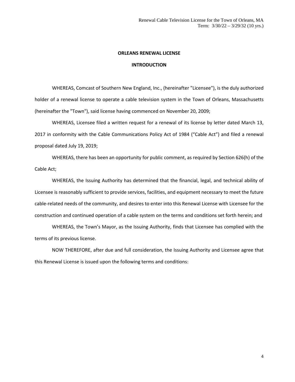### **ORLEANS RENEWAL LICENSE**

### **INTRODUCTION**

WHEREAS, Comcast of Southern New England, Inc., (hereinafter "Licensee"), is the duly authorized holder of a renewal license to operate a cable television system in the Town of Orleans, Massachusetts (hereinafter the "Town"), said license having commenced on November 20, 2009;

WHEREAS, Licensee filed a written request for a renewal of its license by letter dated March 13, 2017 in conformity with the Cable Communications Policy Act of 1984 ("Cable Act") and filed a renewal proposal dated July 19, 2019;

WHEREAS, there has been an opportunity for public comment, as required by Section 626(h) of the Cable Act;

WHEREAS, the Issuing Authority has determined that the financial, legal, and technical ability of Licensee is reasonably sufficient to provide services, facilities, and equipment necessary to meet the future cable-related needs of the community, and desires to enter into this Renewal License with Licensee for the construction and continued operation of a cable system on the terms and conditions set forth herein; and

WHEREAS, the Town's Mayor, as the Issuing Authority, finds that Licensee has complied with the terms of its previous license.

NOW THEREFORE, after due and full consideration, the Issuing Authority and Licensee agree that this Renewal License is issued upon the following terms and conditions: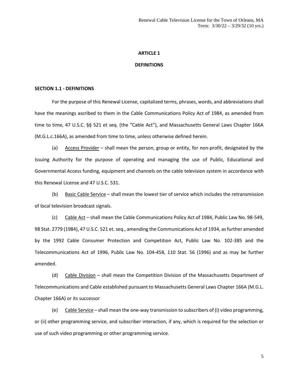#### **DEFINITIONS**

### **SECTION 1.1 - DEFINITIONS**

For the purpose of this Renewal License, capitalized terms, phrases, words, and abbreviations shall have the meanings ascribed to them in the Cable Communications Policy Act of 1984, as amended from time to time, 47 U.S.C. §§ 521 et seq. (the "Cable Act"), and Massachusetts General Laws Chapter 166A (M.G.L.c.166A), as amended from time to time, unless otherwise defined herein.

(a) Access Provider – shall mean the person, group or entity, for non-profit, designated by the Issuing Authority for the purpose of operating and managing the use of Public, Educational and Governmental Access funding, equipment and channels on the cable television system in accordance with this Renewal License and 47 U.S.C. 531.

(b) Basic Cable Service – shall mean the lowest tier of service which includes the retransmission of local television broadcast signals.

(c) Cable Act – shall mean the Cable Communications Policy Act of 1984, Public Law No. 98-549, 98 Stat. 2779 (1984), 47 U.S.C. 521 et. seq., amending the Communications Act of 1934, as further amended by the 1992 Cable Consumer Protection and Competition Act, Public Law No. 102-385 and the Telecommunications Act of 1996, Public Law No. 104-458, 110 Stat. 56 (1996) and as may be further amended.

(d) Cable Division – shall mean the Competition Division of the Massachusetts Department of Telecommunications and Cable established pursuant to Massachusetts General Laws Chapter 166A (M.G.L. Chapter 166A) or its successor

(e) Cable Service – shall mean the one-way transmission to subscribers of (i) video programming, or (ii) other programming service, and subscriber interaction, if any, which is required for the selection or use of such video programming or other programming service.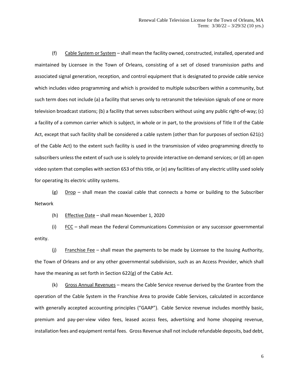(f) Cable System or System – shall mean the facility owned, constructed, installed, operated and maintained by Licensee in the Town of Orleans, consisting of a set of closed transmission paths and associated signal generation, reception, and control equipment that is designated to provide cable service which includes video programming and which is provided to multiple subscribers within a community, but such term does not include (a) a facility that serves only to retransmit the television signals of one or more television broadcast stations; (b) a facility that serves subscribers without using any public right-of-way; (c) a facility of a common carrier which is subject, in whole or in part, to the provisions of Title II of the Cable Act, except that such facility shall be considered a cable system (other than for purposes of section 621(c) of the Cable Act) to the extent such facility is used in the transmission of video programming directly to subscribers unless the extent of such use is solely to provide interactive on-demand services; or (d) an open video system that complies with section 653 of this title, or (e) any facilities of any electric utility used solely for operating its electric utility systems.

(g)  $Drop - shell$  mean the coaxial cable that connects a home or building to the Subscriber Network

(h) Effective Date – shall mean November 1, 2020

(i)  $FCC -$  shall mean the Federal Communications Commission or any successor governmental entity.

(j) Franchise Fee – shall mean the payments to be made by Licensee to the Issuing Authority, the Town of Orleans and or any other governmental subdivision, such as an Access Provider, which shall have the meaning as set forth in Section 622(g) of the Cable Act.

(k) Gross Annual Revenues – means the Cable Service revenue derived by the Grantee from the operation of the Cable System in the Franchise Area to provide Cable Services, calculated in accordance with generally accepted accounting principles ("GAAP"). Cable Service revenue includes monthly basic, premium and pay-per-view video fees, leased access fees, advertising and home shopping revenue, installation fees and equipment rental fees. Gross Revenue shall not include refundable deposits, bad debt,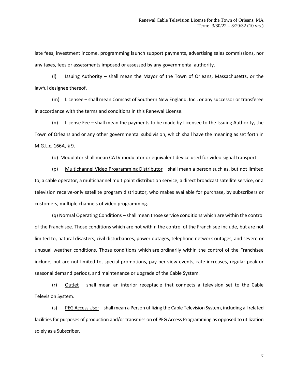late fees, investment income, programming launch support payments, advertising sales commissions, nor any taxes, fees or assessments imposed or assessed by any governmental authority.

(l) Issuing Authority – shall mean the Mayor of the Town of Orleans, Massachusetts, or the lawful designee thereof.

(m) Licensee – shall mean Comcast of Southern New England, Inc., or any successor or transferee in accordance with the terms and conditions in this Renewal License.

(n) License Fee – shall mean the payments to be made by Licensee to the Issuing Authority, the Town of Orleans and or any other governmental subdivision, which shall have the meaning as set forth in M.G.L.c. 166A, § 9.

(o) Modulator shall mean CATV modulator or equivalent device used for video signal transport.

(p) Multichannel Video Programming Distributor – shall mean a person such as, but not limited to, a cable operator, a multichannel multipoint distribution service, a direct broadcast satellite service, or a television receive-only satellite program distributor, who makes available for purchase, by subscribers or customers, multiple channels of video programming.

(q) Normal Operating Conditions – shall mean those service conditions which are within the control of the Franchisee. Those conditions which are not within the control of the Franchisee include, but are not limited to, natural disasters, civil disturbances, power outages, telephone network outages, and severe or unusual weather conditions. Those conditions which are ordinarily within the control of the Franchisee include, but are not limited to, special promotions, pay-per-view events, rate increases, regular peak or seasonal demand periods, and maintenance or upgrade of the Cable System.

 $(r)$  Outlet – shall mean an interior receptacle that connects a television set to the Cable Television System.

(s) PEG Access User – shall mean a Person utilizing the Cable Television System, including all related facilities for purposes of production and/or transmission of PEG Access Programming as opposed to utilization solely as a Subscriber.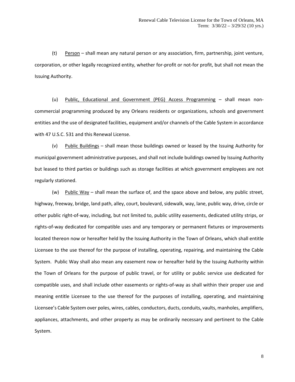(t) Person – shall mean any natural person or any association, firm, partnership, joint venture, corporation, or other legally recognized entity, whether for-profit or not-for profit, but shall not mean the Issuing Authority.

(u) Public, Educational and Government (PEG) Access Programming – shall mean noncommercial programming produced by any Orleans residents or organizations, schools and government entities and the use of designated facilities, equipment and/or channels of the Cable System in accordance with 47 U.S.C. 531 and this Renewal License.

(v) Public Buildings – shall mean those buildings owned or leased by the Issuing Authority for municipal government administrative purposes, and shall not include buildings owned by Issuing Authority but leased to third parties or buildings such as storage facilities at which government employees are not regularly stationed.

(w) Public Way – shall mean the surface of, and the space above and below, any public street, highway, freeway, bridge, land path, alley, court, boulevard, sidewalk, way, lane, public way, drive, circle or other public right-of-way, including, but not limited to, public utility easements, dedicated utility strips, or rights-of-way dedicated for compatible uses and any temporary or permanent fixtures or improvements located thereon now or hereafter held by the Issuing Authority in the Town of Orleans, which shall entitle Licensee to the use thereof for the purpose of installing, operating, repairing, and maintaining the Cable System. Public Way shall also mean any easement now or hereafter held by the Issuing Authority within the Town of Orleans for the purpose of public travel, or for utility or public service use dedicated for compatible uses, and shall include other easements or rights-of-way as shall within their proper use and meaning entitle Licensee to the use thereof for the purposes of installing, operating, and maintaining Licensee's Cable System over poles, wires, cables, conductors, ducts, conduits, vaults, manholes, amplifiers, appliances, attachments, and other property as may be ordinarily necessary and pertinent to the Cable System.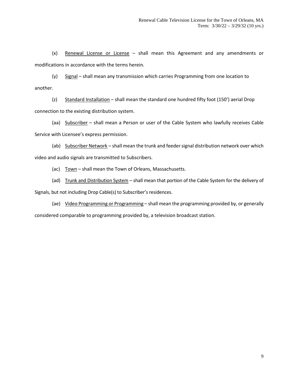(x) Renewal License or License – shall mean this Agreement and any amendments or modifications in accordance with the terms herein.

(y) Signal – shall mean any transmission which carries Programming from one location to another.

(z) Standard Installation – shall mean the standard one hundred fifty foot (150') aerial Drop connection to the existing distribution system.

(aa) Subscriber - shall mean a Person or user of the Cable System who lawfully receives Cable Service with Licensee's express permission.

(ab) Subscriber Network - shall mean the trunk and feeder signal distribution network over which video and audio signals are transmitted to Subscribers.

(ac) Town - shall mean the Town of Orleans, Massachusetts.

(ad) Trunk and Distribution System – shall mean that portion of the Cable System for the delivery of Signals, but not including Drop Cable(s) to Subscriber's residences.

(ae) Video Programming or Programming - shall mean the programming provided by, or generally considered comparable to programming provided by, a television broadcast station.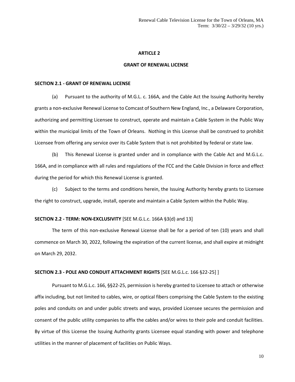#### **GRANT OF RENEWAL LICENSE**

#### **SECTION 2.1 - GRANT OF RENEWAL LICENSE**

(a) Pursuant to the authority of M.G.L. c. 166A, and the Cable Act the Issuing Authority hereby grants a non-exclusive Renewal License to Comcast of Southern New England, Inc., a Delaware Corporation, authorizing and permitting Licensee to construct, operate and maintain a Cable System in the Public Way within the municipal limits of the Town of Orleans. Nothing in this License shall be construed to prohibit Licensee from offering any service over its Cable System that is not prohibited by federal or state law.

(b) This Renewal License is granted under and in compliance with the Cable Act and M.G.L.c. 166A, and in compliance with all rules and regulations of the FCC and the Cable Division in force and effect during the period for which this Renewal License is granted.

(c) Subject to the terms and conditions herein, the Issuing Authority hereby grants to Licensee the right to construct, upgrade, install, operate and maintain a Cable System within the Public Way.

### **SECTION 2.2 - TERM: NON-EXCLUSIVITY** [SEE M.G.L.c. 166A §3(d) and 13]

The term of this non-exclusive Renewal License shall be for a period of ten (10) years and shall commence on March 30, 2022, following the expiration of the current license, and shall expire at midnight on March 29, 2032.

#### **SECTION 2.3 - POLE AND CONDUIT ATTACHMENT RIGHTS** [SEE M.G.L.c. 166 §22-25] ]

Pursuant to M.G.L.c. 166, §§22-25, permission is hereby granted to Licensee to attach or otherwise affix including, but not limited to cables, wire, or optical fibers comprising the Cable System to the existing poles and conduits on and under public streets and ways, provided Licensee secures the permission and consent of the public utility companies to affix the cables and/or wires to their pole and conduit facilities. By virtue of this License the Issuing Authority grants Licensee equal standing with power and telephone utilities in the manner of placement of facilities on Public Ways.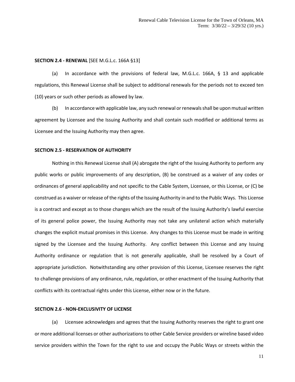### **SECTION 2.4 - RENEWAL** [SEE M.G.L.c. 166A §13]

(a) In accordance with the provisions of federal law, M.G.L.c. 166A, § 13 and applicable regulations, this Renewal License shall be subject to additional renewals for the periods not to exceed ten (10) years or such other periods as allowed by law.

(b) In accordance with applicable law, any such renewal or renewals shall be upon mutual written agreement by Licensee and the Issuing Authority and shall contain such modified or additional terms as Licensee and the Issuing Authority may then agree.

#### **SECTION 2.5 - RESERVATION OF AUTHORITY**

Nothing in this Renewal License shall (A) abrogate the right of the Issuing Authority to perform any public works or public improvements of any description, (B) be construed as a waiver of any codes or ordinances of general applicability and not specific to the Cable System, Licensee, or this License, or (C) be construed as a waiver or release of the rights of the Issuing Authority in and to the Public Ways. This License is a contract and except as to those changes which are the result of the Issuing Authority's lawful exercise of its general police power, the Issuing Authority may not take any unilateral action which materially changes the explicit mutual promises in this License. Any changes to this License must be made in writing signed by the Licensee and the Issuing Authority. Any conflict between this License and any Issuing Authority ordinance or regulation that is not generally applicable, shall be resolved by a Court of appropriate jurisdiction. Notwithstanding any other provision of this License, Licensee reserves the right to challenge provisions of any ordinance, rule, regulation, or other enactment of the Issuing Authority that conflicts with its contractual rights under this License, either now or in the future.

### **SECTION 2.6 - NON-EXCLUSIVITY OF LICENSE**

(a) Licensee acknowledges and agrees that the Issuing Authority reserves the right to grant one or more additional licenses or other authorizations to other Cable Service providers or wireline based video service providers within the Town for the right to use and occupy the Public Ways or streets within the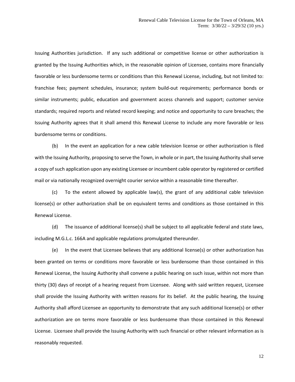Issuing Authorities jurisdiction. If any such additional or competitive license or other authorization is granted by the Issuing Authorities which, in the reasonable opinion of Licensee, contains more financially favorable or less burdensome terms or conditions than this Renewal License, including, but not limited to: franchise fees; payment schedules, insurance; system build-out requirements; performance bonds or similar instruments; public, education and government access channels and support; customer service standards; required reports and related record keeping; and notice and opportunity to cure breaches; the Issuing Authority agrees that it shall amend this Renewal License to include any more favorable or less burdensome terms or conditions.

(b) In the event an application for a new cable television license or other authorization is filed with the Issuing Authority, proposing to serve the Town, in whole or in part, the Issuing Authority shall serve a copy of such application upon any existing Licensee or incumbent cable operator by registered or certified mail or via nationally recognized overnight courier service within a reasonable time thereafter.

(c) To the extent allowed by applicable law(s), the grant of any additional cable television license(s) or other authorization shall be on equivalent terms and conditions as those contained in this Renewal License.

(d) The issuance of additional license(s) shall be subject to all applicable federal and state laws, including M.G.L.c. 166A and applicable regulations promulgated thereunder.

(e) In the event that Licensee believes that any additional license(s) or other authorization has been granted on terms or conditions more favorable or less burdensome than those contained in this Renewal License, the Issuing Authority shall convene a public hearing on such issue, within not more than thirty (30) days of receipt of a hearing request from Licensee. Along with said written request, Licensee shall provide the Issuing Authority with written reasons for its belief. At the public hearing, the Issuing Authority shall afford Licensee an opportunity to demonstrate that any such additional license(s) or other authorization are on terms more favorable or less burdensome than those contained in this Renewal License. Licensee shall provide the Issuing Authority with such financial or other relevant information as is reasonably requested.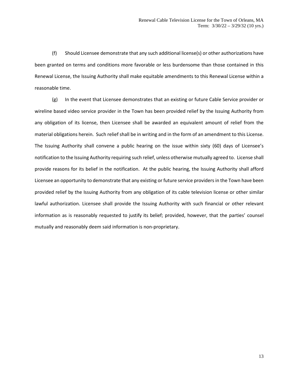(f) Should Licensee demonstrate that any such additional license(s) or other authorizations have been granted on terms and conditions more favorable or less burdensome than those contained in this Renewal License, the Issuing Authority shall make equitable amendments to this Renewal License within a reasonable time.

(g) In the event that Licensee demonstrates that an existing or future Cable Service provider or wireline based video service provider in the Town has been provided relief by the Issuing Authority from any obligation of its license, then Licensee shall be awarded an equivalent amount of relief from the material obligations herein. Such relief shall be in writing and in the form of an amendment to this License. The Issuing Authority shall convene a public hearing on the issue within sixty (60) days of Licensee's notification to the Issuing Authority requiring such relief, unless otherwise mutually agreed to. License shall provide reasons for its belief in the notification. At the public hearing, the Issuing Authority shall afford Licensee an opportunity to demonstrate that any existing or future service providers in the Town have been provided relief by the Issuing Authority from any obligation of its cable television license or other similar lawful authorization. Licensee shall provide the Issuing Authority with such financial or other relevant information as is reasonably requested to justify its belief; provided, however, that the parties' counsel mutually and reasonably deem said information is non-proprietary.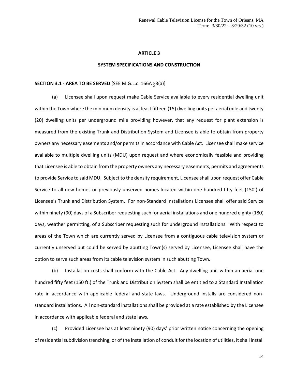### **SYSTEM SPECIFICATIONS AND CONSTRUCTION**

#### **SECTION 3.1 - AREA TO BE SERVED** [SEE M.G.L.c. 166A §3(a)]

(a) Licensee shall upon request make Cable Service available to every residential dwelling unit within the Town where the minimum density is at least fifteen (15) dwelling units per aerial mile and twenty (20) dwelling units per underground mile providing however, that any request for plant extension is measured from the existing Trunk and Distribution System and Licensee is able to obtain from property owners any necessary easements and/or permits in accordance with Cable Act. Licensee shall make service available to multiple dwelling units (MDU) upon request and where economically feasible and providing that Licensee is able to obtain from the property owners any necessary easements, permits and agreements to provide Service to said MDU. Subject to the density requirement, Licensee shall upon request offer Cable Service to all new homes or previously unserved homes located within one hundred fifty feet (150') of Licensee's Trunk and Distribution System. For non-Standard Installations Licensee shall offer said Service within ninety (90) days of a Subscriber requesting such for aerial installations and one hundred eighty (180) days, weather permitting, of a Subscriber requesting such for underground installations. With respect to areas of the Town which are currently served by Licensee from a contiguous cable television system or currently unserved but could be served by abutting Town(s) served by Licensee, Licensee shall have the option to serve such areas from its cable television system in such abutting Town.

(b) Installation costs shall conform with the Cable Act. Any dwelling unit within an aerial one hundred fifty feet (150 ft.) of the Trunk and Distribution System shall be entitled to a Standard Installation rate in accordance with applicable federal and state laws. Underground installs are considered nonstandard installations. All non-standard installations shall be provided at a rate established by the Licensee in accordance with applicable federal and state laws.

(c) Provided Licensee has at least ninety (90) days' prior written notice concerning the opening of residential subdivision trenching, or of the installation of conduit for the location of utilities, it shall install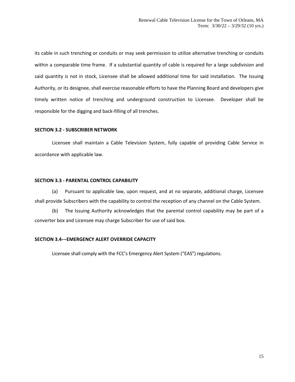its cable in such trenching or conduits or may seek permission to utilize alternative trenching or conduits within a comparable time frame. If a substantial quantity of cable is required for a large subdivision and said quantity is not in stock, Licensee shall be allowed additional time for said installation. The Issuing Authority, or its designee, shall exercise reasonable efforts to have the Planning Board and developers give timely written notice of trenching and underground construction to Licensee. Developer shall be responsible for the digging and back-filling of all trenches.

### **SECTION 3.2 - SUBSCRIBER NETWORK**

Licensee shall maintain a Cable Television System, fully capable of providing Cable Service in accordance with applicable law.

### **SECTION 3.3 - PARENTAL CONTROL CAPABILITY**

(a) Pursuant to applicable law, upon request, and at no separate, additional charge, Licensee shall provide Subscribers with the capability to control the reception of any channel on the Cable System.

(b) The Issuing Authority acknowledges that the parental control capability may be part of a converter box and Licensee may charge Subscriber for use of said box.

### **SECTION 3.4---EMERGENCY ALERT OVERRIDE CAPACITY**

Licensee shall comply with the FCC's Emergency Alert System ("EAS") regulations.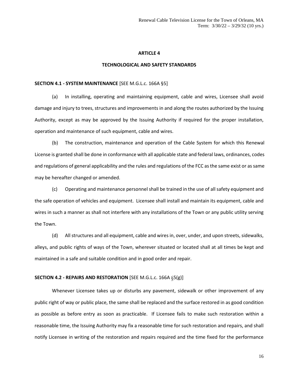### **TECHNOLOGICAL AND SAFETY STANDARDS**

### **SECTION 4.1 - SYSTEM MAINTENANCE** [SEE M.G.L.c. 166A §5]

(a) In installing, operating and maintaining equipment, cable and wires, Licensee shall avoid damage and injury to trees, structures and improvements in and along the routes authorized by the Issuing Authority, except as may be approved by the Issuing Authority if required for the proper installation, operation and maintenance of such equipment, cable and wires.

(b) The construction, maintenance and operation of the Cable System for which this Renewal License is granted shall be done in conformance with all applicable state and federal laws, ordinances, codes and regulations of general applicability and the rules and regulations of the FCC as the same exist or as same may be hereafter changed or amended.

(c) Operating and maintenance personnel shall be trained in the use of all safety equipment and the safe operation of vehicles and equipment. Licensee shall install and maintain its equipment, cable and wires in such a manner as shall not interfere with any installations of the Town or any public utility serving the Town.

(d) All structures and all equipment, cable and wires in, over, under, and upon streets, sidewalks, alleys, and public rights of ways of the Town, wherever situated or located shall at all times be kept and maintained in a safe and suitable condition and in good order and repair.

#### **SECTION 4.2 - REPAIRS AND RESTORATION** [SEE M.G.L.c. 166A §5(g)]

Whenever Licensee takes up or disturbs any pavement, sidewalk or other improvement of any public right of way or public place, the same shall be replaced and the surface restored in as good condition as possible as before entry as soon as practicable. If Licensee fails to make such restoration within a reasonable time, the Issuing Authority may fix a reasonable time for such restoration and repairs, and shall notify Licensee in writing of the restoration and repairs required and the time fixed for the performance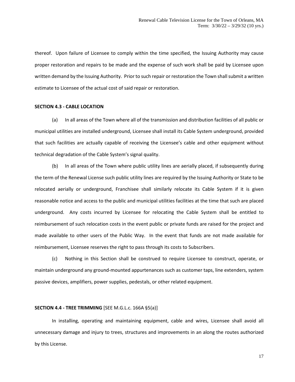thereof. Upon failure of Licensee to comply within the time specified, the Issuing Authority may cause proper restoration and repairs to be made and the expense of such work shall be paid by Licensee upon written demand by the Issuing Authority. Prior to such repair or restoration the Town shall submit a written estimate to Licensee of the actual cost of said repair or restoration.

### **SECTION 4.3 - CABLE LOCATION**

(a) In all areas of the Town where all of the transmission and distribution facilities of all public or municipal utilities are installed underground, Licensee shall install its Cable System underground, provided that such facilities are actually capable of receiving the Licensee's cable and other equipment without technical degradation of the Cable System's signal quality.

(b) In all areas of the Town where public utility lines are aerially placed, if subsequently during the term of the Renewal License such public utility lines are required by the Issuing Authority or State to be relocated aerially or underground, Franchisee shall similarly relocate its Cable System if it is given reasonable notice and access to the public and municipal utilities facilities at the time that such are placed underground. Any costs incurred by Licensee for relocating the Cable System shall be entitled to reimbursement of such relocation costs in the event public or private funds are raised for the project and made available to other users of the Public Way. In the event that funds are not made available for reimbursement, Licensee reserves the right to pass through its costs to Subscribers.

(c) Nothing in this Section shall be construed to require Licensee to construct, operate, or maintain underground any ground-mounted appurtenances such as customer taps, line extenders, system passive devices, amplifiers, power supplies, pedestals, or other related equipment.

### **SECTION 4.4 - TREE TRIMMING** [SEE M.G.L.c. 166A §5(a)]

In installing, operating and maintaining equipment, cable and wires, Licensee shall avoid all unnecessary damage and injury to trees, structures and improvements in an along the routes authorized by this License.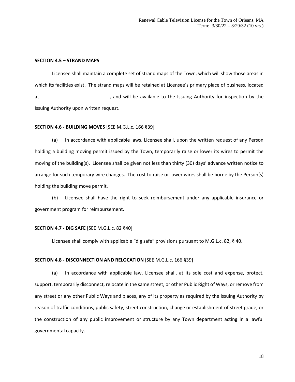### **SECTION 4.5 – STRAND MAPS**

Licensee shall maintain a complete set of strand maps of the Town, which will show those areas in which its facilities exist. The strand maps will be retained at Licensee's primary place of business, located at \_\_\_\_\_\_\_\_\_\_\_\_\_\_\_\_\_\_\_\_\_\_\_\_\_\_, and will be available to the Issuing Authority for inspection by the Issuing Authority upon written request.

### **SECTION 4.6 - BUILDING MOVES** [SEE M.G.L.c. 166 §39]

(a) In accordance with applicable laws, Licensee shall, upon the written request of any Person holding a building moving permit issued by the Town, temporarily raise or lower its wires to permit the moving of the building(s). Licensee shall be given not less than thirty (30) days' advance written notice to arrange for such temporary wire changes. The cost to raise or lower wires shall be borne by the Person(s) holding the building move permit.

(b) Licensee shall have the right to seek reimbursement under any applicable insurance or government program for reimbursement.

### **SECTION 4.7 - DIG SAFE** [SEE M.G.L.c. 82 §40]

Licensee shall comply with applicable "dig safe" provisions pursuant to M.G.L.c. 82, § 40.

### **SECTION 4.8 - DISCONNECTION AND RELOCATION** [SEE M.G.L.c. 166 §39]

(a) In accordance with applicable law, Licensee shall, at its sole cost and expense, protect, support, temporarily disconnect, relocate in the same street, or other Public Right of Ways, or remove from any street or any other Public Ways and places, any of its property as required by the Issuing Authority by reason of traffic conditions, public safety, street construction, change or establishment of street grade, or the construction of any public improvement or structure by any Town department acting in a lawful governmental capacity.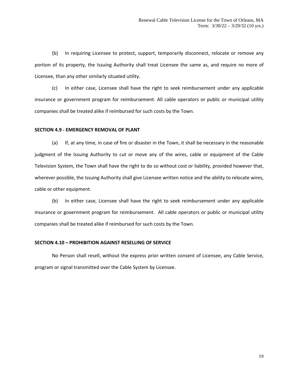(b) In requiring Licensee to protect, support, temporarily disconnect, relocate or remove any portion of its property, the Issuing Authority shall treat Licensee the same as, and require no more of Licensee, than any other similarly situated utility.

(c) In either case, Licensee shall have the right to seek reimbursement under any applicable insurance or government program for reimbursement. All cable operators or public or municipal utility companies shall be treated alike if reimbursed for such costs by the Town.

### **SECTION 4.9 - EMERGENCY REMOVAL OF PLANT**

(a) If, at any time, in case of fire or disaster in the Town, it shall be necessary in the reasonable judgment of the Issuing Authority to cut or move any of the wires, cable or equipment of the Cable Television System, the Town shall have the right to do so without cost or liability, provided however that, wherever possible, the Issuing Authority shall give Licensee written notice and the ability to relocate wires, cable or other equipment.

(b) In either case, Licensee shall have the right to seek reimbursement under any applicable insurance or government program for reimbursement. All cable operators or public or municipal utility companies shall be treated alike if reimbursed for such costs by the Town.

### **SECTION 4.10 – PROHIBITION AGAINST RESELLING OF SERVICE**

No Person shall resell, without the express prior written consent of Licensee, any Cable Service, program or signal transmitted over the Cable System by Licensee.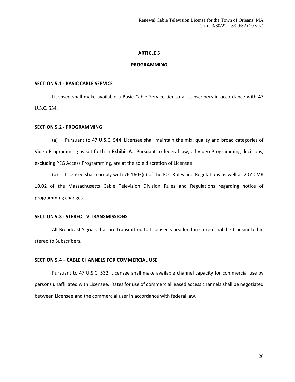### **PROGRAMMING**

### **SECTION 5.1 - BASIC CABLE SERVICE**

Licensee shall make available a Basic Cable Service tier to all subscribers in accordance with 47 U.S.C. 534.

### **SECTION 5.2 - PROGRAMMING**

(a) Pursuant to 47 U.S.C. 544, Licensee shall maintain the mix, quality and broad categories of Video Programming as set forth in **Exhibit A**. Pursuant to federal law, all Video Programming decisions, excluding PEG Access Programming, are at the sole discretion of Licensee.

(b) Licensee shall comply with 76.1603(c) of the FCC Rules and Regulations as well as 207 CMR 10.02 of the Massachusetts Cable Television Division Rules and Regulations regarding notice of programming changes.

### **SECTION 5.3 - STEREO TV TRANSMISSIONS**

All Broadcast Signals that are transmitted to Licensee's headend in stereo shall be transmitted in stereo to Subscribers.

### **SECTION 5.4 – CABLE CHANNELS FOR COMMERCIAL USE**

Pursuant to 47 U.S.C. 532, Licensee shall make available channel capacity for commercial use by persons unaffiliated with Licensee. Rates for use of commercial leased access channels shall be negotiated between Licensee and the commercial user in accordance with federal law.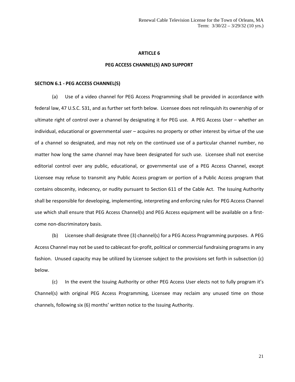### **PEG ACCESS CHANNEL(S) AND SUPPORT**

#### **SECTION 6.1 - PEG ACCESS CHANNEL(S)**

(a) Use of a video channel for PEG Access Programming shall be provided in accordance with federal law, 47 U.S.C. 531, and as further set forth below. Licensee does not relinquish its ownership of or ultimate right of control over a channel by designating it for PEG use. A PEG Access User – whether an individual, educational or governmental user – acquires no property or other interest by virtue of the use of a channel so designated, and may not rely on the continued use of a particular channel number, no matter how long the same channel may have been designated for such use. Licensee shall not exercise editorial control over any public, educational, or governmental use of a PEG Access Channel, except Licensee may refuse to transmit any Public Access program or portion of a Public Access program that contains obscenity, indecency, or nudity pursuant to Section 611 of the Cable Act. The Issuing Authority shall be responsible for developing, implementing, interpreting and enforcing rules for PEG Access Channel use which shall ensure that PEG Access Channel(s) and PEG Access equipment will be available on a firstcome non-discriminatory basis.

(b) Licensee shall designate three (3) channel(s) for a PEG Access Programming purposes. A PEG Access Channel may not be used to cablecast for-profit, political or commercial fundraising programs in any fashion. Unused capacity may be utilized by Licensee subject to the provisions set forth in subsection (c) below.

(c) In the event the Issuing Authority or other PEG Access User elects not to fully program it's Channel(s) with original PEG Access Programming, Licensee may reclaim any unused time on those channels, following six (6) months' written notice to the Issuing Authority.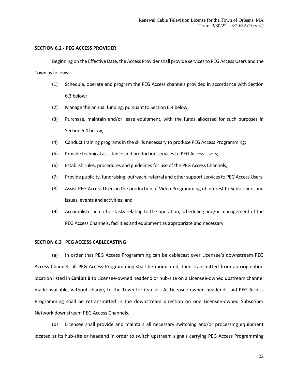### **SECTION 6.2 - PEG ACCESS PROVIDER**

Beginning on the Effective Date, the Access Provider shall provide services to PEG Access Users and the Town as follows:

- (1) Schedule, operate and program the PEG Access channels provided in accordance with Section 6.3 below;
- (2) Manage the annual funding, pursuant to Section 6.4 below;
- (3) Purchase, maintain and/or lease equipment, with the funds allocated for such purposes in Section 6.4 below;
- (4) Conduct training programs in the skills necessary to produce PEG Access Programming;
- (5) Provide technical assistance and production services to PEG Access Users;
- (6) Establish rules, procedures and guidelines for use of the PEG Access Channels;
- (7) Provide publicity, fundraising, outreach, referral and other support services to PEG Access Users;
- (8) Assist PEG Access Users in the production of Video Programming of interest to Subscribers and issues, events and activities; and
- (9) Accomplish such other tasks relating to the operation, scheduling and/or management of the PEG Access Channels, facilities and equipment as appropriate and necessary.

### **SECTION 6.3 PEG ACCESS CABLECASTING**

(a) In order that PEG Access Programming can be cablecast over Licensee's downstream PEG Access Channel, all PEG Access Programming shall be modulated, then transmitted from an origination location listed in **Exhibit B** to Licensee-owned headend or hub-site on a Licensee-owned upstream channel made available, without charge, to the Town for its use. At Licensee-owned headend, said PEG Access Programming shall be retransmitted in the downstream direction on one Licensee-owned Subscriber Network downstream PEG Access Channels.

(b) Licensee shall provide and maintain all necessary switching and/or processing equipment located at its hub-site or headend in order to switch upstream signals carrying PEG Access Programming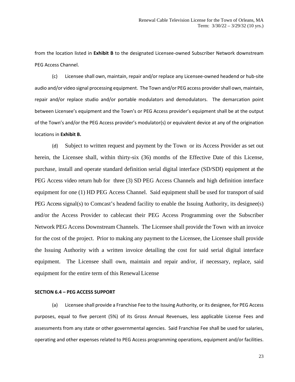from the location listed in **Exhibit B** to the designated Licensee-owned Subscriber Network downstream PEG Access Channel.

(c) Licensee shall own, maintain, repair and/or replace any Licensee-owned headend or hub-site audio and/or video signal processing equipment. The Town and/or PEG access provider shall own, maintain, repair and/or replace studio and/or portable modulators and demodulators. The demarcation point between Licensee's equipment and the Town's or PEG Access provider's equipment shall be at the output of the Town's and/or the PEG Access provider's modulator(s) or equivalent device at any of the origination locations in **Exhibit B.**

(d) Subject to written request and payment by the Town or its Access Provider as set out herein, the Licensee shall, within thirty-six (36) months of the Effective Date of this License, purchase, install and operate standard definition serial digital interface (SD/SDI) equipment at the PEG Access video return hub for three (3) SD PEG Access Channels and high definition interface equipment for one (1) HD PEG Access Channel. Said equipment shall be used for transport of said PEG Access signal(s) to Comcast's headend facility to enable the Issuing Authority, its designee(s) and/or the Access Provider to cablecast their PEG Access Programming over the Subscriber Network PEG Access Downstream Channels. The Licensee shall provide the Town with an invoice for the cost of the project. Prior to making any payment to the Licensee, the Licensee shall provide the Issuing Authority with a written invoice detailing the cost for said serial digital interface equipment. The Licensee shall own, maintain and repair and/or, if necessary, replace, said equipment for the entire term of this Renewal License

### **SECTION 6.4 – PEG ACCESS SUPPORT**

(a) Licensee shall provide a Franchise Fee to the Issuing Authority, or its designee, for PEG Access purposes, equal to five percent (5%) of its Gross Annual Revenues, less applicable License Fees and assessments from any state or other governmental agencies. Said Franchise Fee shall be used for salaries, operating and other expenses related to PEG Access programming operations, equipment and/or facilities.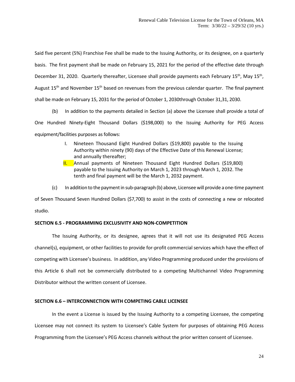Said five percent (5%) Franchise Fee shall be made to the Issuing Authority, or its designee, on a quarterly basis. The first payment shall be made on February 15, 2021 for the period of the effective date through December 31, 2020. Quarterly thereafter, Licensee shall provide payments each February 15<sup>th</sup>, May 15<sup>th</sup>, August  $15<sup>th</sup>$  and November  $15<sup>th</sup>$  based on revenues from the previous calendar quarter. The final payment shall be made on February 15, 2031 for the period of October 1, 2030through October 31,31, 2030.

(b) In addition to the payments detailed in Section (a) above the Licensee shall provide a total of

One Hundred Ninety-Eight Thousand Dollars (\$198,000) to the Issuing Authority for PEG Access

equipment/facilities purposes as follows:

- I. Nineteen Thousand Eight Hundred Dollars (\$19,800) payable to the Issuing Authority within ninety (90) days of the Effective Date of this Renewal License; and annually thereafter;
- II. Annual payments of Nineteen Thousand Eight Hundred Dollars (\$19,800) payable to the Issuing Authority on March 1, 2023 through March 1, 2032. The tenth and final payment will be the March 1, 2032 payment.
- (c) In addition to the payment in sub-paragraph (b) above, Licensee will provide a one-time payment

of Seven Thousand Seven Hundred Dollars (\$7,700) to assist in the costs of connecting a new or relocated studio.

### **SECTION 6.5 - PROGRAMMING EXCLUSIVITY AND NON-COMPETITION**

The Issuing Authority, or its designee, agrees that it will not use its designated PEG Access channel(s), equipment, or other facilities to provide for-profit commercial services which have the effect of competing with Licensee's business. In addition, any Video Programming produced under the provisions of this Article 6 shall not be commercially distributed to a competing Multichannel Video Programming Distributor without the written consent of Licensee.

### **SECTION 6.6 – INTERCONNECTION WITH COMPETING CABLE LICENSEE**

In the event a License is issued by the Issuing Authority to a competing Licensee, the competing Licensee may not connect its system to Licensee's Cable System for purposes of obtaining PEG Access Programming from the Licensee's PEG Access channels without the prior written consent of Licensee.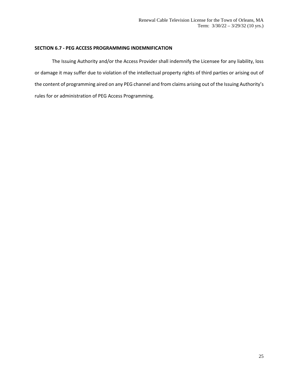### **SECTION 6.7 - PEG ACCESS PROGRAMMING INDEMNIFICATION**

The Issuing Authority and/or the Access Provider shall indemnify the Licensee for any liability, loss or damage it may suffer due to violation of the intellectual property rights of third parties or arising out of the content of programming aired on any PEG channel and from claims arising out of the Issuing Authority's rules for or administration of PEG Access Programming.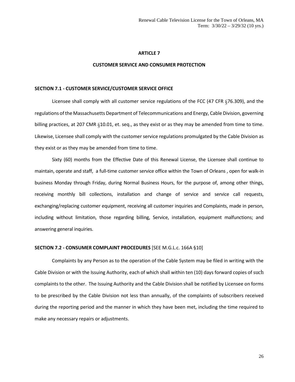### **CUSTOMER SERVICE AND CONSUMER PROTECTION**

### **SECTION 7.1 - CUSTOMER SERVICE/CUSTOMER SERVICE OFFICE**

Licensee shall comply with all customer service regulations of the FCC (47 CFR §76.309), and the regulations of the Massachusetts Department of Telecommunications and Energy, Cable Division, governing billing practices, at 207 CMR §10.01, et. seq., as they exist or as they may be amended from time to time. Likewise, Licensee shall comply with the customer service regulations promulgated by the Cable Division as they exist or as they may be amended from time to time.

Sixty (60) months from the Effective Date of this Renewal License, the Licensee shall continue to maintain, operate and staff, a full-time customer service office within the Town of Orleans , open for walk-in business Monday through Friday, during Normal Business Hours, for the purpose of, among other things, receiving monthly bill collections, installation and change of service and service call requests, exchanging/replacing customer equipment, receiving all customer inquiries and Complaints, made in person, including without limitation, those regarding billing, Service, installation, equipment malfunctions; and answering general inquiries.

### **SECTION 7.2 - CONSUMER COMPLAINT PROCEDURES** [SEE M.G.L.c. 166A §10]

Complaints by any Person as to the operation of the Cable System may be filed in writing with the Cable Division or with the Issuing Authority, each of which shall within ten (10) days forward copies of such complaints to the other. The Issuing Authority and the Cable Division shall be notified by Licensee on forms to be prescribed by the Cable Division not less than annually, of the complaints of subscribers received during the reporting period and the manner in which they have been met, including the time required to make any necessary repairs or adjustments.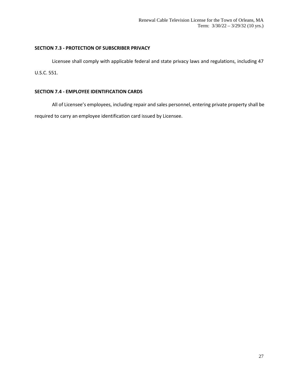### **SECTION 7.3 - PROTECTION OF SUBSCRIBER PRIVACY**

Licensee shall comply with applicable federal and state privacy laws and regulations, including 47 U.S.C. 551.

### **SECTION 7.4 - EMPLOYEE IDENTIFICATION CARDS**

All of Licensee's employees, including repair and sales personnel, entering private property shall be required to carry an employee identification card issued by Licensee.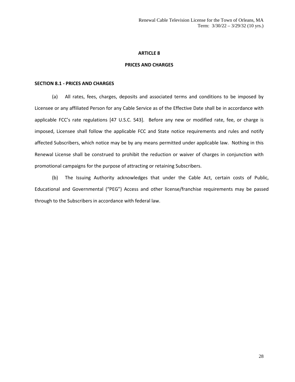### **PRICES AND CHARGES**

### **SECTION 8.1 - PRICES AND CHARGES**

(a) All rates, fees, charges, deposits and associated terms and conditions to be imposed by Licensee or any affiliated Person for any Cable Service as of the Effective Date shall be in accordance with applicable FCC's rate regulations [47 U.S.C. 543]. Before any new or modified rate, fee, or charge is imposed, Licensee shall follow the applicable FCC and State notice requirements and rules and notify affected Subscribers, which notice may be by any means permitted under applicable law. Nothing in this Renewal License shall be construed to prohibit the reduction or waiver of charges in conjunction with promotional campaigns for the purpose of attracting or retaining Subscribers.

(b) The Issuing Authority acknowledges that under the Cable Act, certain costs of Public, Educational and Governmental ("PEG") Access and other license/franchise requirements may be passed through to the Subscribers in accordance with federal law.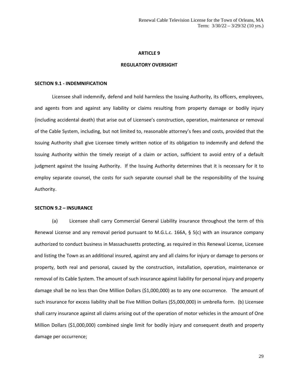#### **REGULATORY OVERSIGHT**

#### **SECTION 9.1 - INDEMNIFICATION**

Licensee shall indemnify, defend and hold harmless the Issuing Authority, its officers, employees, and agents from and against any liability or claims resulting from property damage or bodily injury (including accidental death) that arise out of Licensee's construction, operation, maintenance or removal of the Cable System, including, but not limited to, reasonable attorney's fees and costs, provided that the Issuing Authority shall give Licensee timely written notice of its obligation to indemnify and defend the Issuing Authority within the timely receipt of a claim or action, sufficient to avoid entry of a default judgment against the Issuing Authority. If the Issuing Authority determines that it is necessary for it to employ separate counsel, the costs for such separate counsel shall be the responsibility of the Issuing Authority.

### **SECTION 9.2 – INSURANCE**

(a) Licensee shall carry Commercial General Liability insurance throughout the term of this Renewal License and any removal period pursuant to M.G.L.c. 166A, § 5(c) with an insurance company authorized to conduct business in Massachusetts protecting, as required in this Renewal License, Licensee and listing the Town as an additional insured, against any and all claims for injury or damage to persons or property, both real and personal, caused by the construction, installation, operation, maintenance or removal of its Cable System. The amount of such insurance against liability for personal injury and property damage shall be no less than One Million Dollars (\$1,000,000) as to any one occurrence. The amount of such insurance for excess liability shall be Five Million Dollars (\$5,000,000) in umbrella form. (b) Licensee shall carry insurance against all claims arising out of the operation of motor vehicles in the amount of One Million Dollars (\$1,000,000) combined single limit for bodily injury and consequent death and property damage per occurrence;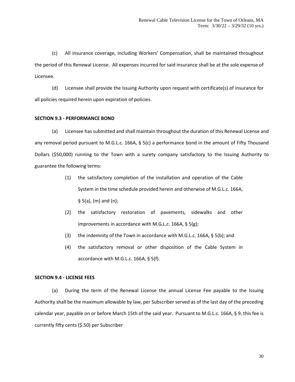(c) All insurance coverage, including Workers' Compensation, shall be maintained throughout the period of this Renewal License. All expenses incurred for said insurance shall be at the sole expense of Licensee.

(d) Licensee shall provide the Issuing Authority upon request with certificate(s) of insurance for all policies required herein upon expiration of policies.

### **SECTION 9.3 - PERFORMANCE BOND**

(a) Licensee has submitted and shall maintain throughout the duration of this Renewal License and any removal period pursuant to M.G.L.c. 166A, § 5(c) a performance bond in the amount of Fifty Thousand Dollars (\$50,000) running to the Town with a surety company satisfactory to the Issuing Authority to guarantee the following terms:

- (1) the satisfactory completion of the installation and operation of the Cable System in the time schedule provided herein and otherwise of M.G.L.c. 166A,  $§ 5(a), (m)$  and  $(n);$
- (2) the satisfactory restoration of pavements, sidewalks and other improvements in accordance with M.G.L.c. 166A, § 5(g);
- (3) the indemnity of the Town in accordance with M.G.L.c. 166A, § 5(b); and
- (4) the satisfactory removal or other disposition of the Cable System in accordance with M.G.L.c. 166A, § 5(f).

### **SECTION 9.4 - LICENSE FEES**

(a) During the term of the Renewal License the annual License Fee payable to the Issuing Authority shall be the maximum allowable by law, per Subscriber served as of the last day of the preceding calendar year, payable on or before March 15th of the said year. Pursuant to M.G.L.c. 166A, § 9, this fee is currently fifty cents (\$.50) per Subscriber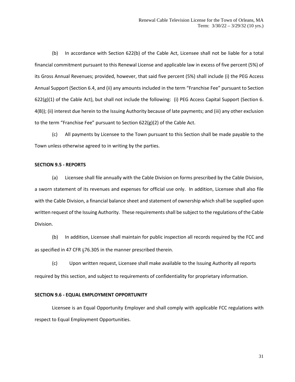(b) In accordance with Section 622(b) of the Cable Act, Licensee shall not be liable for a total financial commitment pursuant to this Renewal License and applicable law in excess of five percent (5%) of its Gross Annual Revenues; provided, however, that said five percent (5%) shall include (i) the PEG Access Annual Support (Section 6.4, and (ii) any amounts included in the term "Franchise Fee" pursuant to Section 622(g)(1) of the Cable Act), but shall not include the following: (i) PEG Access Capital Support (Section 6. 4(B)); (ii) interest due herein to the Issuing Authority because of late payments; and (iii) any other exclusion to the term "Franchise Fee" pursuant to Section 622(g)(2) of the Cable Act.

(c) All payments by Licensee to the Town pursuant to this Section shall be made payable to the Town unless otherwise agreed to in writing by the parties.

### **SECTION 9.5 - REPORTS**

(a) Licensee shall file annually with the Cable Division on forms prescribed by the Cable Division, a sworn statement of its revenues and expenses for official use only. In addition, Licensee shall also file with the Cable Division, a financial balance sheet and statement of ownership which shall be supplied upon written request of the Issuing Authority. These requirements shall be subject to the regulations of the Cable Division.

(b) In addition, Licensee shall maintain for public inspection all records required by the FCC and as specified in 47 CFR §76.305 in the manner prescribed therein.

(c) Upon written request, Licensee shall make available to the Issuing Authority all reports required by this section, and subject to requirements of confidentiality for proprietary information.

### **SECTION 9.6 - EQUAL EMPLOYMENT OPPORTUNITY**

Licensee is an Equal Opportunity Employer and shall comply with applicable FCC regulations with respect to Equal Employment Opportunities.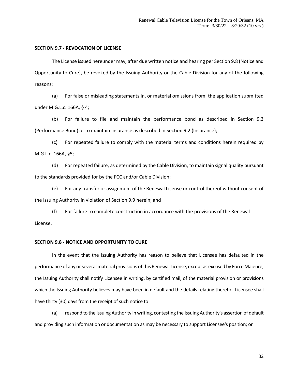### **SECTION 9.7 - REVOCATION OF LICENSE**

The License issued hereunder may, after due written notice and hearing per Section 9.8 (Notice and Opportunity to Cure), be revoked by the Issuing Authority or the Cable Division for any of the following reasons:

(a) For false or misleading statements in, or material omissions from, the application submitted under M.G.L.c. 166A, § 4;

(b) For failure to file and maintain the performance bond as described in Section 9.3 (Performance Bond) or to maintain insurance as described in Section 9.2 (Insurance);

(c) For repeated failure to comply with the material terms and conditions herein required by M.G.L.c. 166A, §5;

(d) For repeated failure, as determined by the Cable Division, to maintain signal quality pursuant to the standards provided for by the FCC and/or Cable Division;

(e) For any transfer or assignment of the Renewal License or control thereof without consent of the Issuing Authority in violation of Section 9.9 herein; and

(f) For failure to complete construction in accordance with the provisions of the Renewal License.

### **SECTION 9.8 - NOTICE AND OPPORTUNITY TO CURE**

In the event that the Issuing Authority has reason to believe that Licensee has defaulted in the performance of any or several material provisions of this Renewal License, except as excused by Force Majeure, the Issuing Authority shall notify Licensee in writing, by certified mail, of the material provision or provisions which the Issuing Authority believes may have been in default and the details relating thereto. Licensee shall have thirty (30) days from the receipt of such notice to:

(a) respond to the Issuing Authority in writing, contesting the Issuing Authority's assertion of default and providing such information or documentation as may be necessary to support Licensee's position; or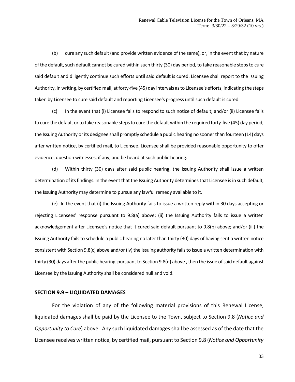(b) cure any such default (and provide written evidence of the same), or, in the event that by nature of the default, such default cannot be cured within such thirty (30) day period, to take reasonable steps to cure said default and diligently continue such efforts until said default is cured. Licensee shall report to the Issuing Authority, in writing, by certified mail, at forty-five (45) day intervals as to Licensee's efforts, indicating the steps taken by Licensee to cure said default and reporting Licensee's progress until such default is cured.

(c) In the event that (i) Licensee fails to respond to such notice of default; and/or (ii) Licensee fails to cure the default or to take reasonable steps to cure the default within the required forty-five (45) day period; the Issuing Authority or its designee shall promptly schedule a public hearing no sooner than fourteen (14) days after written notice, by certified mail, to Licensee. Licensee shall be provided reasonable opportunity to offer evidence, question witnesses, if any, and be heard at such public hearing.

(d) Within thirty (30) days after said public hearing, the Issuing Authority shall issue a written determination of its findings. In the event that the Issuing Authority determines that Licensee is in such default, the Issuing Authority may determine to pursue any lawful remedy available to it.

(e) In the event that (i) the Issuing Authority fails to issue a written reply within 30 days accepting or rejecting Licensees' response pursuant to 9.8(a) above; (ii) the Issuing Authority fails to issue a written acknowledgement after Licensee's notice that it cured said default pursuant to 9.8(b) above; and/or (iii) the Issuing Authority fails to schedule a public hearing no later than thirty (30) days of having sent a written notice consistent with Section 9.8(c) above and/or (iv) the Issuing authority fails to issue a written determination with thirty (30) days after the public hearing pursuant to Section 9.8(d) above , then the issue of said default against Licensee by the Issuing Authority shall be considered null and void.

### **SECTION 9.9 – LIQUIDATED DAMAGES**

For the violation of any of the following material provisions of this Renewal License, liquidated damages shall be paid by the Licensee to the Town, subject to Section 9.8 (*Notice and Opportunity to Cure*) above. Any such liquidated damages shall be assessed as of the date that the Licensee receives written notice, by certified mail, pursuant to Section 9.8 (*Notice and Opportunity*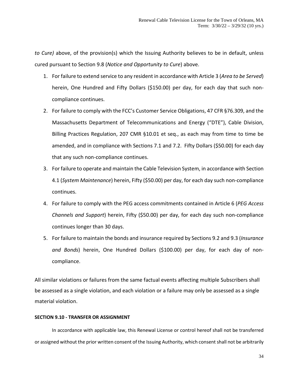*to Cure)* above, of the provision(s) which the Issuing Authority believes to be in default, unless cured pursuant to Section 9.8 (*Notice and Opportunity to Cure*) above.

- 1. For failure to extend service to any resident in accordance with Article 3 (*Area to be Served*) herein, One Hundred and Fifty Dollars (\$150.00) per day, for each day that such noncompliance continues.
- 2. For failure to comply with the FCC's Customer Service Obligations, 47 CFR §76.309, and the Massachusetts Department of Telecommunications and Energy ("DTE"), Cable Division, Billing Practices Regulation, 207 CMR §10.01 et seq., as each may from time to time be amended, and in compliance with Sections 7.1 and 7.2. Fifty Dollars (\$50.00) for each day that any such non-compliance continues.
- 3. For failure to operate and maintain the Cable Television System, in accordance with Section 4.1 (*System Maintenance*) herein, Fifty (\$50.00) per day, for each day such non-compliance continues.
- 4. For failure to comply with the PEG access commitments contained in Article 6 (*PEG Access Channels and Support*) herein, Fifty (\$50.00) per day, for each day such non-compliance continues longer than 30 days.
- 5. For failure to maintain the bonds and insurance required by Sections 9.2 and 9.3 (*Insurance and Bonds*) herein, One Hundred Dollars (\$100.00) per day, for each day of noncompliance.

All similar violations or failures from the same factual events affecting multiple Subscribers shall be assessed as a single violation, and each violation or a failure may only be assessed as a single material violation.

### **SECTION 9.10 - TRANSFER OR ASSIGNMENT**

In accordance with applicable law, this Renewal License or control hereof shall not be transferred or assigned without the prior written consent of the Issuing Authority, which consent shall not be arbitrarily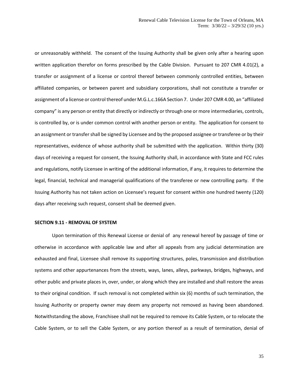or unreasonably withheld. The consent of the Issuing Authority shall be given only after a hearing upon written application therefor on forms prescribed by the Cable Division. Pursuant to 207 CMR 4.01(2), a transfer or assignment of a license or control thereof between commonly controlled entities, between affiliated companies, or between parent and subsidiary corporations, shall not constitute a transfer or assignment of a license or control thereof under M.G.L.c.166A Section 7. Under 207 CMR 4.00, an "affiliated company" is any person or entity that directly or indirectly or through one or more intermediaries, controls, is controlled by, or is under common control with another person or entity. The application for consent to an assignment or transfer shall be signed by Licensee and by the proposed assignee or transferee or by their representatives, evidence of whose authority shall be submitted with the application. Within thirty (30) days of receiving a request for consent, the Issuing Authority shall, in accordance with State and FCC rules and regulations, notify Licensee in writing of the additional information, if any, it requires to determine the legal, financial, technical and managerial qualifications of the transferee or new controlling party. If the Issuing Authority has not taken action on Licensee's request for consent within one hundred twenty (120) days after receiving such request, consent shall be deemed given.

### **SECTION 9.11 - REMOVAL OF SYSTEM**

Upon termination of this Renewal License or denial of any renewal hereof by passage of time or otherwise in accordance with applicable law and after all appeals from any judicial determination are exhausted and final, Licensee shall remove its supporting structures, poles, transmission and distribution systems and other appurtenances from the streets, ways, lanes, alleys, parkways, bridges, highways, and other public and private places in, over, under, or along which they are installed and shall restore the areas to their original condition. If such removal is not completed within six (6) months of such termination, the Issuing Authority or property owner may deem any property not removed as having been abandoned. Notwithstanding the above, Franchisee shall not be required to remove its Cable System, or to relocate the Cable System, or to sell the Cable System, or any portion thereof as a result of termination, denial of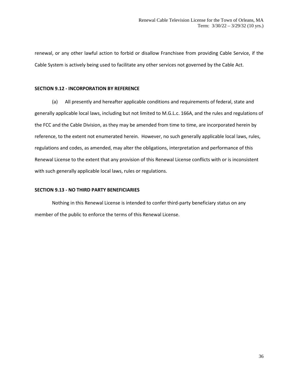renewal, or any other lawful action to forbid or disallow Franchisee from providing Cable Service, if the Cable System is actively being used to facilitate any other services not governed by the Cable Act.

### **SECTION 9.12 - INCORPORATION BY REFERENCE**

(a) All presently and hereafter applicable conditions and requirements of federal, state and generally applicable local laws, including but not limited to M.G.L.c. 166A, and the rules and regulations of the FCC and the Cable Division, as they may be amended from time to time, are incorporated herein by reference, to the extent not enumerated herein. However, no such generally applicable local laws, rules, regulations and codes, as amended, may alter the obligations, interpretation and performance of this Renewal License to the extent that any provision of this Renewal License conflicts with or is inconsistent with such generally applicable local laws, rules or regulations.

### **SECTION 9.13 - NO THIRD PARTY BENEFICIARIES**

Nothing in this Renewal License is intended to confer third-party beneficiary status on any member of the public to enforce the terms of this Renewal License.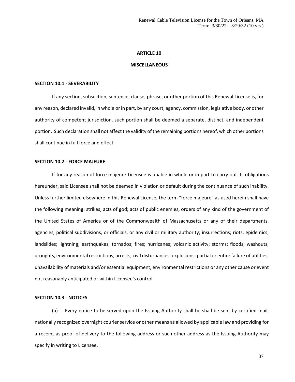#### **MISCELLANEOUS**

#### **SECTION 10.1 - SEVERABILITY**

If any section, subsection, sentence, clause, phrase, or other portion of this Renewal License is, for any reason, declared invalid, in whole or in part, by any court, agency, commission, legislative body, or other authority of competent jurisdiction, such portion shall be deemed a separate, distinct, and independent portion. Such declaration shall not affect the validity of the remaining portions hereof, which other portions shall continue in full force and effect.

### **SECTION 10.2 - FORCE MAJEURE**

If for any reason of force majeure Licensee is unable in whole or in part to carry out its obligations hereunder, said Licensee shall not be deemed in violation or default during the continuance of such inability. Unless further limited elsewhere in this Renewal License, the term "force majeure" as used herein shall have the following meaning: strikes; acts of god; acts of public enemies, orders of any kind of the government of the United States of America or of the Commonwealth of Massachusetts or any of their departments, agencies, political subdivisions, or officials, or any civil or military authority; insurrections; riots, epidemics; landslides; lightning; earthquakes; tornados; fires; hurricanes; volcanic activity; storms; floods; washouts; droughts, environmental restrictions, arrests; civil disturbances; explosions; partial or entire failure of utilities; unavailability of materials and/or essential equipment, environmental restrictions or any other cause or event not reasonably anticipated or within Licensee's control.

### **SECTION 10.3 - NOTICES**

(a) Every notice to be served upon the Issuing Authority shall be shall be sent by certified mail, nationally recognized overnight courier service or other means as allowed by applicable law and providing for a receipt as proof of delivery to the following address or such other address as the Issuing Authority may specify in writing to Licensee.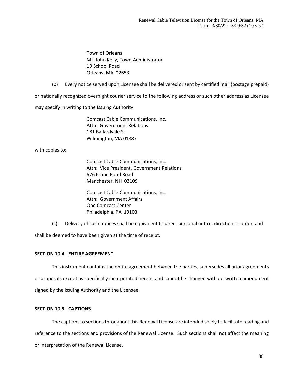Town of Orleans Mr. John Kelly, Town Administrator 19 School Road Orleans, MA 02653

(b) Every notice served upon Licensee shall be delivered or sent by certified mail (postage prepaid)

or nationally recognized overnight courier service to the following address or such other address as Licensee

may specify in writing to the Issuing Authority.

Comcast Cable Communications, Inc. Attn: Government Relations 181 Ballardvale St. Wilmington, MA 01887

with copies to:

Comcast Cable Communications, Inc. Attn: Vice President, Government Relations 676 Island Pond Road Manchester, NH 03109

Comcast Cable Communications, Inc. Attn: Government Affairs One Comcast Center Philadelphia, PA 19103

(c) Delivery of such notices shall be equivalent to direct personal notice, direction or order, and

shall be deemed to have been given at the time of receipt.

### **SECTION 10.4 - ENTIRE AGREEMENT**

This instrument contains the entire agreement between the parties, supersedes all prior agreements or proposals except as specifically incorporated herein, and cannot be changed without written amendment signed by the Issuing Authority and the Licensee.

### **SECTION 10.5 - CAPTIONS**

The captions to sections throughout this Renewal License are intended solely to facilitate reading and reference to the sections and provisions of the Renewal License. Such sections shall not affect the meaning or interpretation of the Renewal License.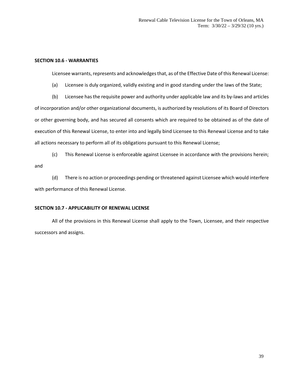### **SECTION 10.6 - WARRANTIES**

Licensee warrants, represents and acknowledges that, as of the Effective Date of this Renewal License:

- (a) Licensee is duly organized, validly existing and in good standing under the laws of the State;
- (b) Licensee has the requisite power and authority under applicable law and its by-laws and articles

of incorporation and/or other organizational documents, is authorized by resolutions of its Board of Directors or other governing body, and has secured all consents which are required to be obtained as of the date of execution of this Renewal License, to enter into and legally bind Licensee to this Renewal License and to take all actions necessary to perform all of its obligations pursuant to this Renewal License;

(c) This Renewal License is enforceable against Licensee in accordance with the provisions herein; and

(d) There is no action or proceedings pending or threatened against Licensee which would interfere with performance of this Renewal License.

### **SECTION 10.7 - APPLICABILITY OF RENEWAL LICENSE**

All of the provisions in this Renewal License shall apply to the Town, Licensee, and their respective successors and assigns.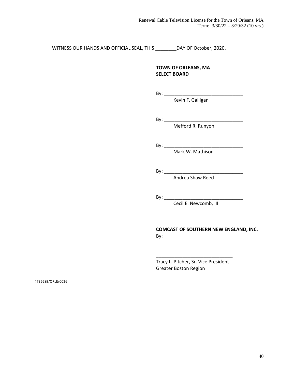WITNESS OUR HANDS AND OFFICIAL SEAL, THIS \_\_\_\_\_\_\_\_DAY OF October, 2020.

### **TOWN OF ORLEANS, MA SELECT BOARD**

By: \_\_\_\_\_\_\_\_\_\_\_\_\_\_\_\_\_\_\_\_\_\_\_\_\_\_\_\_\_\_

Kevin F. Galligan

By: \_\_\_\_\_\_\_\_\_\_\_\_\_\_\_\_\_\_\_\_\_\_\_\_\_\_\_\_\_\_

Mefford R. Runyon

By: \_\_\_\_\_\_\_\_\_\_\_\_\_\_\_\_\_\_\_\_\_\_\_\_\_\_\_\_\_\_

Mark W. Mathison

By: \_\_\_\_\_\_\_\_\_\_\_\_\_\_\_\_\_\_\_\_\_\_\_\_\_\_\_\_\_\_

Andrea Shaw Reed

By: \_\_\_\_\_\_\_\_\_\_\_\_\_\_\_\_\_\_\_\_\_\_\_\_\_\_\_\_\_\_

Cecil E. Newcomb, III

### **COMCAST OF SOUTHERN NEW ENGLAND, INC.** By:

Tracy L. Pitcher, Sr. Vice President Greater Boston Region

\_\_\_\_\_\_\_\_\_\_\_\_\_\_\_\_\_\_\_\_\_\_\_\_\_\_\_\_\_

#736689/ORLE/0026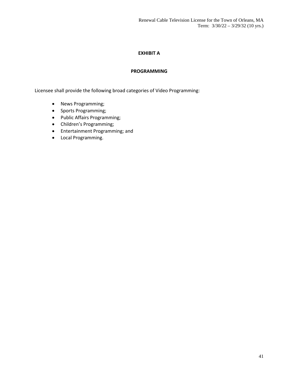### **EXHIBIT A**

### **PROGRAMMING**

Licensee shall provide the following broad categories of Video Programming:

- News Programming;
- Sports Programming;
- Public Affairs Programming;
- Children's Programming;
- Entertainment Programming; and
- Local Programming.